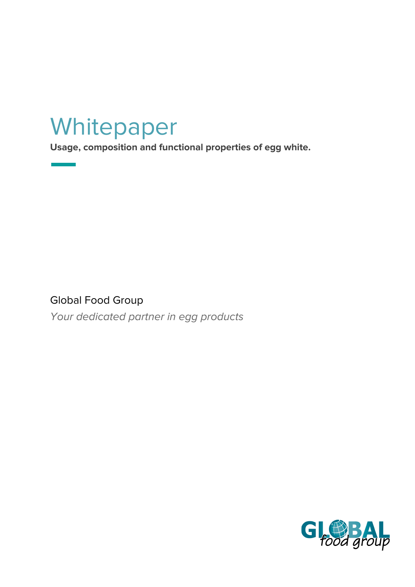# Whitepaper

**Usage, composition and functional properties of egg white.**

Global Food Group

Your dedicated partner in egg products

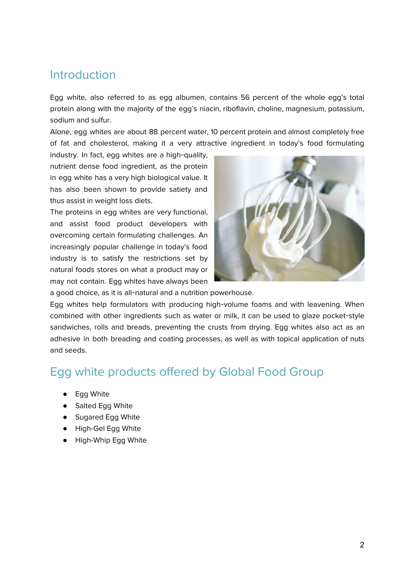#### Introduction

Egg white, also referred to as egg albumen, contains 56 percent of the whole egg's total protein along with the majority of the egg's niacin, riboflavin, choline, magnesium, potassium, sodium and sulfur.

Alone, egg whites are about 88 percent water, 10 percent protein and almost completely free of fat and cholesterol, making it a very attractive ingredient in today's food formulating

industry. In fact, egg whites are a high-quality, nutrient dense food ingredient, as the protein in egg white has a very high biological value. It has also been shown to provide satiety and thus assist in weight loss diets.

The proteins in egg whites are very functional, and assist food product developers with overcoming certain formulating challenges. An increasingly popular challenge in today's food industry is to satisfy the restrictions set by natural foods stores on what a product may or may not contain. Egg whites have always been



a good choice, as it is all-natural and a nutrition powerhouse.

Egg whites help formulators with producing high-volume foams and with leavening. When combined with other ingredients such as water or milk, it can be used to glaze pocket-style sandwiches, rolls and breads, preventing the crusts from drying. Egg whites also act as an adhesive in both breading and coating processes, as well as with topical application of nuts and seeds.

#### Egg white products offered by Global Food Group

- Egg White
- Salted Egg White
- Sugared Egg White
- High-Gel Egg White
- High-Whip Egg White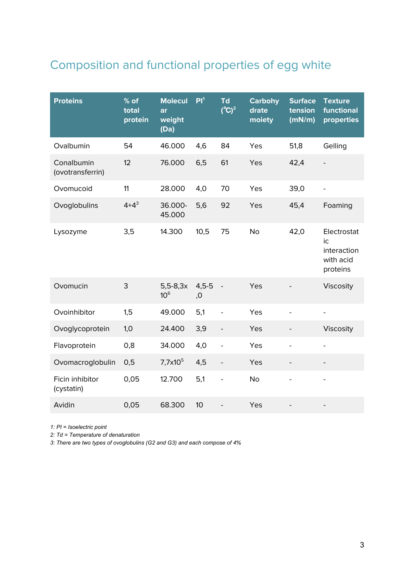## Composition and functional properties of egg white

| <b>Proteins</b>                | $%$ of<br>total<br>protein | <b>Molecul</b><br>ar<br>weight<br>(Da) | PI <sup>1</sup> | <b>Td</b><br>$(^{\circ}C)^2$ | <b>Carbohy</b><br>drate<br>moiety | <b>Surface</b><br>tension<br>(mN/m) | <b>Texture</b><br>functional<br>properties                |
|--------------------------------|----------------------------|----------------------------------------|-----------------|------------------------------|-----------------------------------|-------------------------------------|-----------------------------------------------------------|
| Ovalbumin                      | 54                         | 46.000                                 | 4,6             | 84                           | Yes                               | 51,8                                | Gelling                                                   |
| Conalbumin<br>(ovotransferrin) | 12                         | 76.000                                 | 6,5             | 61                           | Yes                               | 42,4                                |                                                           |
| Ovomucoid                      | 11                         | 28.000                                 | 4,0             | 70                           | Yes                               | 39,0                                | $\overline{a}$                                            |
| Ovoglobulins                   | $4 + 4^3$                  | 36.000-<br>45.000                      | 5,6             | 92                           | Yes                               | 45,4                                | Foaming                                                   |
| Lysozyme                       | 3,5                        | 14.300                                 | 10,5            | 75                           | <b>No</b>                         | 42,0                                | Electrostat<br>ic<br>interaction<br>with acid<br>proteins |
| Ovomucin                       | 3                          | $5,5-8,3x$<br>10 <sup>6</sup>          | $4,5-5$<br>,0   |                              | Yes                               |                                     | Viscosity                                                 |
| Ovoinhibitor                   | 1,5                        | 49.000                                 | 5,1             | $\overline{a}$               | Yes                               |                                     | $\overline{\phantom{0}}$                                  |
| Ovoglycoprotein                | 1,0                        | 24.400                                 | 3,9             | $\overline{\phantom{0}}$     | Yes                               |                                     | Viscosity                                                 |
| Flavoprotein                   | 0,8                        | 34.000                                 | 4,0             | $\qquad \qquad -$            | Yes                               | $\qquad \qquad \blacksquare$        | $\overline{\phantom{0}}$                                  |
| Ovomacroglobulin               | 0,5                        | $7,7x10^5$                             | 4,5             | $\overline{\phantom{a}}$     | Yes                               |                                     | $\overline{\phantom{0}}$                                  |
| Ficin inhibitor<br>(cystatin)  | 0,05                       | 12.700                                 | 5,1             | -                            | <b>No</b>                         |                                     | $\overline{a}$                                            |
| Avidin                         | 0,05                       | 68.300                                 | 10              |                              | Yes                               |                                     |                                                           |

*1: PI = Isoelectric point*

*2: Td = Temperature of denaturation*

*3: There are two types of ovoglobulins (G2 and G3) and each compose of 4%*